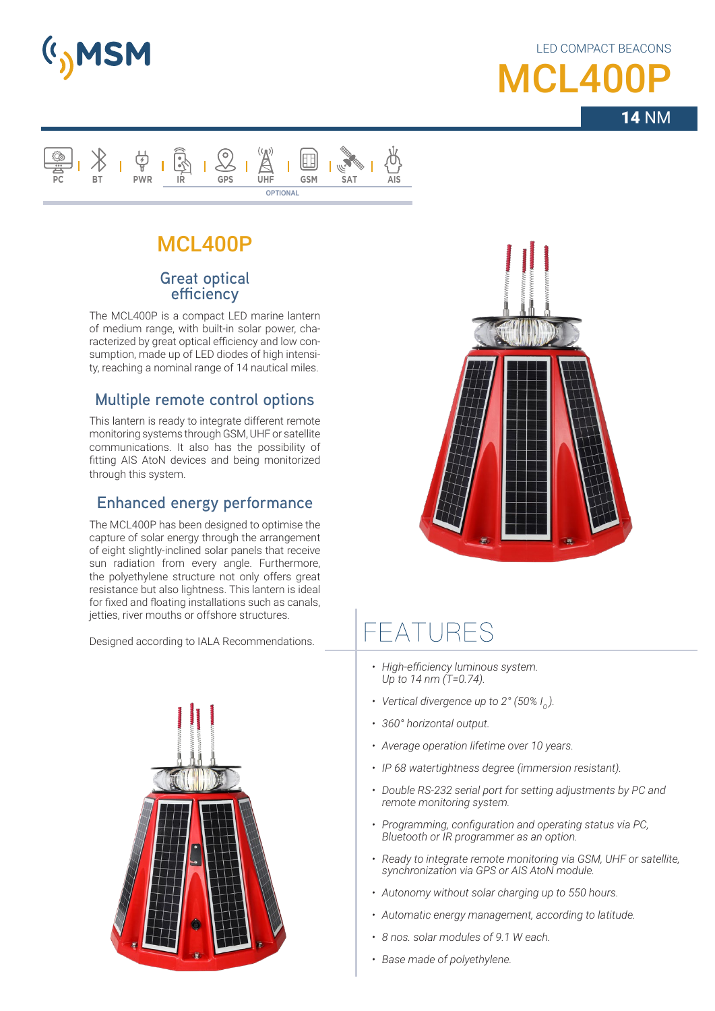

## LED COMPACT BEACONS **ICL400**

14 NM



### MCL400P

### **Great optical efficiency**

The MCL400P is a compact LED marine lantern of medium range, with built-in solar power, characterized by great optical efficiency and low consumption, made up of LED diodes of high intensity, reaching a nominal range of 14 nautical miles.

### **Multiple remote control options**

This lantern is ready to integrate different remote monitoring systems through GSM, UHF or satellite communications. It also has the possibility of fitting AIS AtoN devices and being monitorized through this system.

### **Enhanced energy performance**

The MCL400P has been designed to optimise the capture of solar energy through the arrangement of eight slightly-inclined solar panels that receive sun radiation from every angle. Furthermore, the polyethylene structure not only offers great resistance but also lightness. This lantern is ideal for fixed and floating installations such as canals, jetties, river mouths or offshore structures.

Designed according to IALA Recommendations.





# **FEATURES**

- *• High-efficiency luminous system. Up to 14 nm (T=0.74).*
- Vertical divergence up to  $2^{\circ}$  (50%  $I_{\alpha}$ ).
- *• 360° horizontal output.*
- *• Average operation lifetime over 10 years.*
- *• IP 68 watertightness degree (immersion resistant).*
- *• Double RS-232 serial port for setting adjustments by PC and remote monitoring system.*
- *• Programming, configuration and operating status via PC, Bluetooth or IR programmer as an option.*
- *• Ready to integrate remote monitoring via GSM, UHF or satellite, synchronization via GPS or AIS AtoN module.*
- *• Autonomy without solar charging up to 550 hours.*
- *• Automatic energy management, according to latitude.*
- *• 8 nos. solar modules of 9.1 W each.*
- *• Base made of polyethylene.*